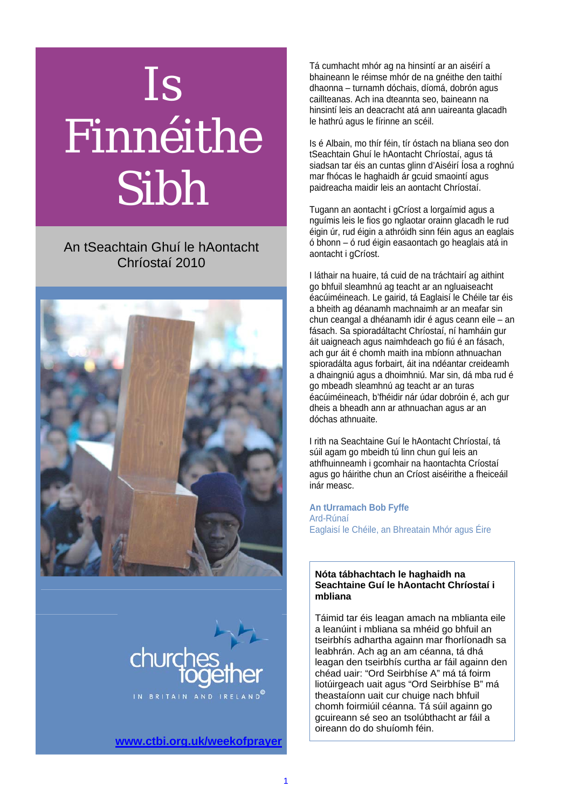# Is Finnéithe Sibh

### An tSeachtain Ghuí le hAontacht Chríostaí 2010





**www.ctbi.org.uk/weekofprayer**

Tá cumhacht mhór ag na hinsintí ar an aiséirí a bhaineann le réimse mhór de na gnéithe den taithí dhaonna – turnamh dóchais, díomá, dobrón agus caillteanas. Ach ina dteannta seo, baineann na hinsintí leis an deacracht atá ann uaireanta glacadh le hathrú agus le fírinne an scéil.

Is é Albain, mo thír féin, tír óstach na bliana seo don tSeachtain Ghuí le hAontacht Chríostaí, agus tá siadsan tar éis an cuntas glinn d'Aiséirí Íosa a roghnú mar fhócas le haghaidh ár gcuid smaointí agus paidreacha maidir leis an aontacht Chríostaí.

Tugann an aontacht i gCríost a lorgaímid agus a nguímis leis le fios go nglaotar orainn glacadh le rud éigin úr, rud éigin a athróidh sinn féin agus an eaglais ó bhonn – ó rud éigin easaontach go heaglais atá in aontacht i gCríost.

I láthair na huaire, tá cuid de na tráchtairí ag aithint go bhfuil sleamhnú ag teacht ar an ngluaiseacht éacúiméineach. Le gairid, tá Eaglaisí le Chéile tar éis a bheith ag déanamh machnaimh ar an meafar sin chun ceangal a dhéanamh idir é agus ceann eile – an fásach. Sa spioradáltacht Chríostaí, ní hamháin gur áit uaigneach agus naimhdeach go fiú é an fásach, ach gur áit é chomh maith ina mbíonn athnuachan spioradálta agus forbairt, áit ina ndéantar creideamh a dhaingniú agus a dhoimhniú. Mar sin, dá mba rud é go mbeadh sleamhnú ag teacht ar an turas éacúiméineach, b'fhéidir nár údar dobróin é, ach gur dheis a bheadh ann ar athnuachan agus ar an dóchas athnuaite.

I rith na Seachtaine Guí le hAontacht Chríostaí, tá súil agam go mbeidh tú linn chun guí leis an athfhuinneamh i gcomhair na haontachta Críostaí agus go háirithe chun an Críost aiséirithe a fheiceáil inár measc.

**An tUrramach Bob Fyffe**  Ard-Rúnaí Eaglaisí le Chéile, an Bhreatain Mhór agus Éire

### **Nóta tábhachtach le haghaidh na Seachtaine Guí le hAontacht Chríostaí i mbliana**

Táimid tar éis leagan amach na mblianta eile a leanúint i mbliana sa mhéid go bhfuil an tseirbhís adhartha againn mar fhorlíonadh sa leabhrán. Ach ag an am céanna, tá dhá leagan den tseirbhís curtha ar fáil againn den chéad uair: "Ord Seirbhíse A" má tá foirm liotúirgeach uait agus "Ord Seirbhíse B" má theastaíonn uait cur chuige nach bhfuil chomh foirmiúil céanna. Tá súil againn go gcuireann sé seo an tsolúbthacht ar fáil a oireann do do shuíomh féin.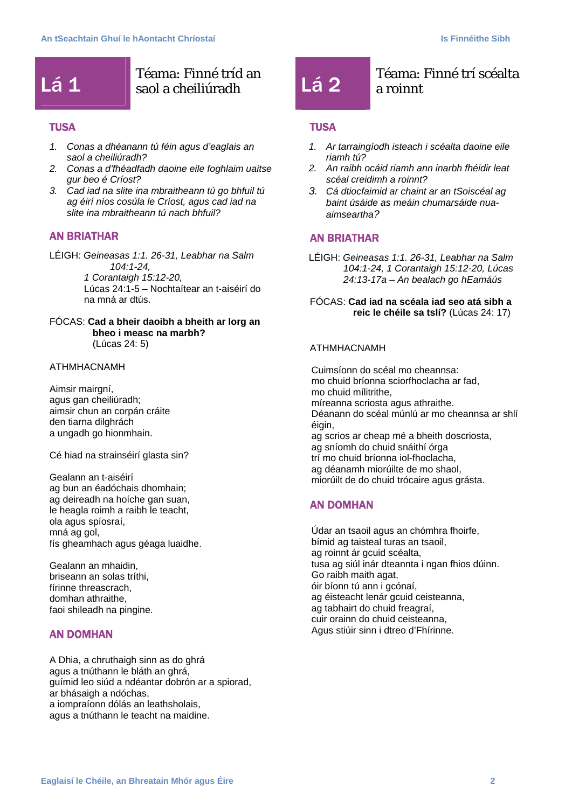## **Lá 1** Téama: Finné tríd an

### **TUSA**

- *1. Conas a dhéanann tú féin agus d'eaglais an saol a cheiliúradh?*
- *2. Conas a d'fhéadfadh daoine eile foghlaim uaitse gur beo é Críost?*
- *3. Cad iad na slite ina mbraitheann tú go bhfuil tú ag éirí níos cosúla le Críost, agus cad iad na slite ina mbraitheann tú nach bhfuil?*

### AN BRIATHAR

LÉIGH: *Geineasas 1:1. 26-31, Leabhar na Salm 104:1-24, 1 Corantaigh 15:12-20,*  Lúcas 24:1-5 – Nochtaítear an t-aiséirí do na mná ar dtús.

### FÓCAS: **Cad a bheir daoibh a bheith ar lorg an bheo i measc na marbh?** (Lúcas 24: 5)

### ATHMHACNAMH

Aimsir mairgní, agus gan cheiliúradh; aimsir chun an corpán cráite den tiarna dilghrách a ungadh go hionmhain.

Cé hiad na strainséirí glasta sin?

Gealann an t-aiséirí ag bun an éadóchais dhomhain; ag deireadh na hoíche gan suan, le heagla roimh a raibh le teacht, ola agus spíosraí, mná ag gol, fís gheamhach agus géaga luaidhe.

Gealann an mhaidin, briseann an solas tríthi, fírinne threascrach, domhan athraithe, faoi shileadh na pingine.

### AN DOMHAN

A Dhia, a chruthaigh sinn as do ghrá agus a tnúthann le bláth an ghrá, guímid leo siúd a ndéantar dobrón ar a spiorad, ar bhásaigh a ndóchas, a iompraíonn dólás an leathsholais, agus a tnúthann le teacht na maidine.

### $\begin{bmatrix} 1 & 2 \end{bmatrix}$  Téama: Finné trí scéalta a roinnt

### **TUSA**

- *1. Ar tarraingíodh isteach i scéalta daoine eile riamh tú?*
- *2. An raibh ocáid riamh ann inarbh fhéidir leat scéal creidimh a roinnt?*
- *3. Cá dtiocfaimid ar chaint ar an tSoiscéal ag baint úsáide as meáin chumarsáide nuaaimseartha?*

### AN BRIATHAR

LÉIGH: *Geineasas 1:1. 26-31, Leabhar na Salm 104:1-24, 1 Corantaigh 15:12-20, Lúcas 24:13-17a – An bealach go hEamáús* 

FÓCAS: **Cad iad na scéala iad seo atá sibh a reic le chéile sa tslí?** (Lúcas 24: 17)

### ATHMHACNAMH

Cuimsíonn do scéal mo cheannsa: mo chuid bríonna sciorfhoclacha ar fad, mo chuid mílitrithe, míreanna scriosta agus athraithe. Déanann do scéal múnlú ar mo cheannsa ar shlí éigin, ag scrios ar cheap mé a bheith doscriosta, ag sníomh do chuid snáithí órga trí mo chuid bríonna iol-fhoclacha, ag déanamh miorúilte de mo shaol, miorúilt de do chuid trócaire agus grásta.

### AN DOMHAN

Údar an tsaoil agus an chómhra fhoirfe, bímid ag taisteal turas an tsaoil, ag roinnt ár gcuid scéalta, tusa ag siúl inár dteannta i ngan fhios dúinn. Go raibh maith agat, óir bíonn tú ann i gcónaí, ag éisteacht lenár gcuid ceisteanna, ag tabhairt do chuid freagraí, cuir orainn do chuid ceisteanna, Agus stiúir sinn i dtreo d'Fhírinne.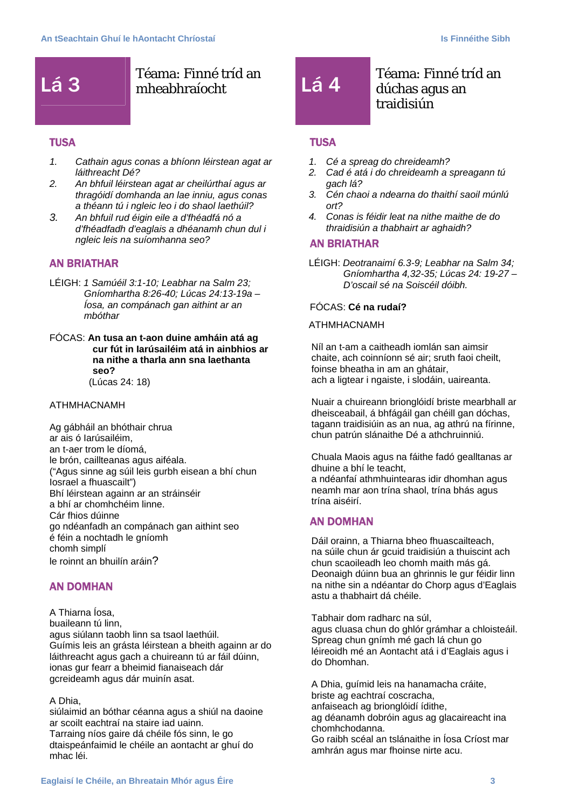## Lá 3 **Téama: Finné tríd an**<br>Lá 3 **Machdair** Mheabhraíocht

### **TUSA**

- *1. Cathain agus conas a bhíonn léirstean agat ar láithreacht Dé?*
- *2. An bhfuil léirstean agat ar cheilúrthaí agus ar thragóidí domhanda an lae inniu, agus conas a théann tú i ngleic leo i do shaol laethúil?*
- *3. An bhfuil rud éigin eile a d'fhéadfá nó a d'fhéadfadh d'eaglais a dhéanamh chun dul i ngleic leis na suíomhanna seo?*

### AN BRIATHAR

- LÉIGH: *1 Samúéil 3:1-10; Leabhar na Salm 23; Gníomhartha 8:26-40; Lúcas 24:13-19a – Íosa, an compánach gan aithint ar an mbóthar*
- FÓCAS: **An tusa an t-aon duine amháin atá ag cur fút in Iarúsailéim atá in ainbhios ar na nithe a tharla ann sna laethanta seo?** (Lúcas 24: 18)

### ATHMHACNAMH

Ag gábháil an bhóthair chrua ar ais ó Iarúsailéim, an t-aer trom le díomá, le brón, caillteanas agus aiféala. ("Agus sinne ag súil leis gurbh eisean a bhí chun Iosrael a fhuascailt") Bhí léirstean againn ar an stráinséir a bhí ar chomhchéim linne. Cár fhios dúinne go ndéanfadh an compánach gan aithint seo é féin a nochtadh le gníomh chomh simplí le roinnt an bhuilín aráin?

### AN DOMHAN

A Thiarna Íosa, buaileann tú linn, agus siúlann taobh linn sa tsaol laethúil. Guímis leis an grásta léirstean a bheith againn ar do láithreacht agus gach a chuireann tú ar fáil dúinn, ionas gur fearr a bheimid fianaiseach dár gcreideamh agus dár muinín asat.

### A Dhia,

siúlaimid an bóthar céanna agus a shiúl na daoine ar scoilt eachtraí na staire iad uainn. Tarraing níos gaire dá chéile fós sinn, le go dtaispeánfaimid le chéile an aontacht ar ghuí do mhac léi.

### $\begin{array}{r} \n\textbf{Téama:}\ \text{Finn\'e\, tríd an} \\
\textbf{Lá 4} \quad \textbf{dúchas agus an}\n\end{array}$ dúchas agus an traidisiún

### **TUSA**

- *1. Cé a spreag do chreideamh?*
- *2. Cad é atá i do chreideamh a spreagann tú gach lá?*
- *3. Cén chaoi a ndearna do thaithí saoil múnlú ort?*
- *4. Conas is féidir leat na nithe maithe de do thraidisiún a thabhairt ar aghaidh?*

### AN BRIATHAR

LÉIGH: *Deotranaimí 6.3-9; Leabhar na Salm 34; Gníomhartha 4,32-35; Lúcas 24: 19-27 – D'oscail sé na Soiscéil dóibh.* 

### FÓCAS: **Cé na rudaí?**

### ATHMHACNAMH

Níl an t-am a caitheadh iomlán san aimsir chaite, ach coinníonn sé air; sruth faoi cheilt, foinse bheatha in am an ghátair, ach a ligtear i ngaiste, i slodáin, uaireanta.

Nuair a chuireann brionglóidí briste mearbhall ar dheisceabail, á bhfágáil gan chéill gan dóchas, tagann traidisiúin as an nua, ag athrú na fírinne, chun patrún slánaithe Dé a athchruinniú.

Chuala Maois agus na fáithe fadó gealltanas ar dhuine a bhí le teacht,

a ndéanfaí athmhuintearas idir dhomhan agus neamh mar aon trína shaol, trína bhás agus trína aiséirí.

### AN DOMHAN

Dáil orainn, a Thiarna bheo fhuascailteach, na súile chun ár gcuid traidisiún a thuiscint ach chun scaoileadh leo chomh maith más gá. Deonaigh dúinn bua an ghrinnis le gur féidir linn na nithe sin a ndéantar do Chorp agus d'Eaglais astu a thabhairt dá chéile.

Tabhair dom radharc na súl, agus cluasa chun do ghlór grámhar a chloisteáil. Spreag chun gnímh mé gach lá chun go léireoidh mé an Aontacht atá i d'Eaglais agus i do Dhomhan.

A Dhia, guímid leis na hanamacha cráite, briste ag eachtraí coscracha, anfaiseach ag brionglóidí ídithe, ag déanamh dobróin agus ag glacaireacht ina chomhchodanna. Go raibh scéal an tslánaithe in Íosa Críost mar amhrán agus mar fhoinse nirte acu.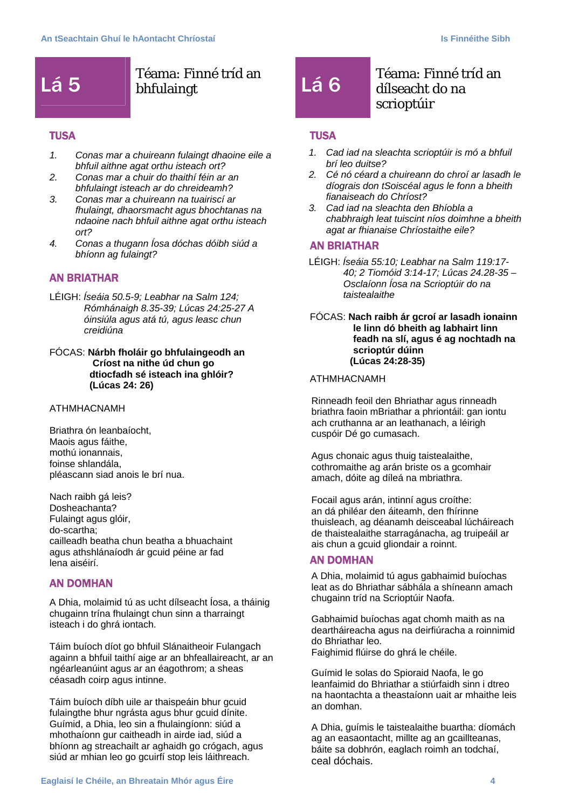## Lá 5 **Téama: Finné tríd an Calaimet an** Lá 6 **Téama: Finné tríd an**

### **TUSA**

- *1. Conas mar a chuireann fulaingt dhaoine eile a bhfuil aithne agat orthu isteach ort?*
- *2. Conas mar a chuir do thaithí féin ar an bhfulaingt isteach ar do chreideamh?*
- *3. Conas mar a chuireann na tuairiscí ar fhulaingt, dhaorsmacht agus bhochtanas na ndaoine nach bhfuil aithne agat orthu isteach ort?*
- *4. Conas a thugann Íosa dóchas dóibh siúd a bhíonn ag fulaingt?*

### AN BRIATHAR

- LÉIGH: *Íseáia 50.5-9; Leabhar na Salm 124; Rómhánaigh 8.35-39; Lúcas 24:25-27 A óinsiúla agus atá tú, agus leasc chun creidiúna*
- FÓCAS: **Nárbh fholáir go bhfulaingeodh an Críost na nithe úd chun go dtiocfadh sé isteach ina ghlóir? (Lúcas 24: 26)**

### ATHMHACNAMH

Briathra ón leanbaíocht, Maois agus fáithe, mothú ionannais, foinse shlandála, pléascann siad anois le brí nua.

Nach raibh gá leis? Dosheachanta? Fulaingt agus glóir, do-scartha; cailleadh beatha chun beatha a bhuachaint agus athshlánaíodh ár gcuid péine ar fad lena aiséirí.

### AN DOMHAN

A Dhia, molaimid tú as ucht dílseacht Íosa, a tháinig chugainn trína fhulaingt chun sinn a tharraingt isteach i do ghrá iontach.

Táim buíoch díot go bhfuil Slánaitheoir Fulangach againn a bhfuil taithí aige ar an bhfeallaireacht, ar an ngéarleanúint agus ar an éagothrom; a sheas céasadh coirp agus intinne.

Táim buíoch díbh uile ar thaispeáin bhur gcuid fulaingthe bhur ngrásta agus bhur gcuid dínite. Guímid, a Dhia, leo sin a fhulaingíonn: siúd a mhothaíonn gur caitheadh in airde iad, siúd a bhíonn ag streachailt ar aghaidh go crógach, agus siúd ar mhian leo go gcuirfí stop leis láithreach.

## dílseacht do na scrioptúir

### **TUSA**

- *1. Cad iad na sleachta scrioptúir is mó a bhfuil brí leo duitse?*
- *2. Cé nó céard a chuireann do chroí ar lasadh le díograis don tSoiscéal agus le fonn a bheith fianaiseach do Chríost?*
- *3. Cad iad na sleachta den Bhíobla a chabhraigh leat tuiscint níos doimhne a bheith agat ar fhianaise Chríostaithe eile?*

### AN BRIATHAR

LÉIGH: *Íseáia 55:10; Leabhar na Salm 119:17- 40; 2 Tiomóid 3:14-17; Lúcas 24.28-35 – Osclaíonn Íosa na Scrioptúir do na taistealaithe* 

FÓCAS: **Nach raibh ár gcroí ar lasadh ionainn le linn dó bheith ag labhairt linn feadh na slí, agus é ag nochtadh na scrioptúr dúinn (Lúcas 24:28-35)** 

### ATHMHACNAMH

Rinneadh feoil den Bhriathar agus rinneadh briathra faoin mBriathar a phriontáil: gan iontu ach cruthanna ar an leathanach, a léirigh cuspóir Dé go cumasach.

Agus chonaic agus thuig taistealaithe, cothromaithe ag arán briste os a gcomhair amach, dóite ag díleá na mbriathra.

Focail agus arán, intinní agus croíthe: an dá philéar den áiteamh, den fhírinne thuisleach, ag déanamh deisceabal lúcháireach de thaistealaithe starragánacha, ag truipeáil ar ais chun a gcuid gliondair a roinnt.

### AN DOMHAN

A Dhia, molaimid tú agus gabhaimid buíochas leat as do Bhriathar sábhála a shíneann amach chugainn tríd na Scrioptúir Naofa.

Gabhaimid buíochas agat chomh maith as na deartháireacha agus na deirfiúracha a roinnimid do Bhriathar leo. Faighimid flúirse do ghrá le chéile.

Guímid le solas do Spioraid Naofa, le go leanfaimid do Bhriathar a stiúrfaidh sinn i dtreo na haontachta a theastaíonn uait ar mhaithe leis an domhan.

A Dhia, guímis le taistealaithe buartha: díomách ag an easaontacht, millte ag an gcaillteanas, báite sa dobhrón, eaglach roimh an todchaí, ceal dóchais.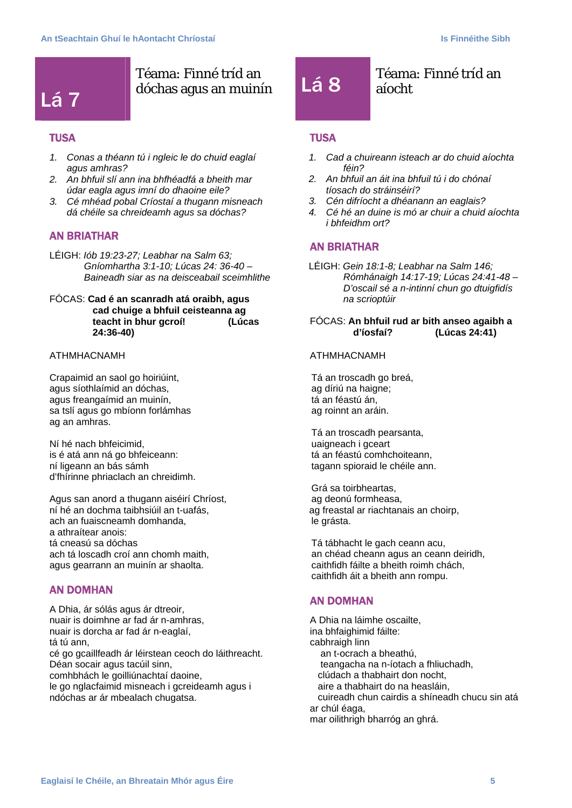

### Téama: Finné tríd an Téama: Finné tríd an dóchas agus an muinín Lá 8 aíocht

### **TUSA**

- *1. Conas a théann tú i ngleic le do chuid eaglaí agus amhras?*
- *2. An bhfuil slí ann ina bhfhéadfá a bheith mar údar eagla agus imní do dhaoine eile?*
- *3. Cé mhéad pobal Críostaí a thugann misneach dá chéile sa chreideamh agus sa dóchas?*

### AN BRIATHAR

LÉIGH: *Iób 19:23-27; Leabhar na Salm 63; Gníomhartha 3:1-10; Lúcas 24: 36-40 – Baineadh siar as na deisceabail sceimhlithe* 

### FÓCAS: **Cad é an scanradh atá oraibh, agus cad chuige a bhfuil ceisteanna ag teacht in bhur gcroí! (Lúcas 24:36-40)**

### ATHMHACNAMH

Crapaimid an saol go hoiriúint, agus síothlaímid an dóchas, agus freangaímid an muinín, sa tslí agus go mbíonn forlámhas ag an amhras.

Ní hé nach bhfeicimid, is é atá ann ná go bhfeiceann: ní ligeann an bás sámh d'fhírinne phriaclach an chreidimh.

Agus san anord a thugann aiséirí Chríost, ní hé an dochma taibhsiúil an t-uafás, ach an fuaiscneamh domhanda, a athraítear anois: tá cneasú sa dóchas ach tá loscadh croí ann chomh maith, agus gearrann an muinín ar shaolta.

### AN DOMHAN

A Dhia, ár sólás agus ár dtreoir, nuair is doimhne ar fad ár n-amhras, nuair is dorcha ar fad ár n-eaglaí, tá tú ann, cé go gcaillfeadh ár léirstean ceoch do láithreacht. Déan socair agus tacúil sinn, comhbhách le goilliúnachtaí daoine, le go nglacfaimid misneach i gcreideamh agus i ndóchas ar ár mbealach chugatsa.

## aíocht

### **TUSA**

- *1. Cad a chuireann isteach ar do chuid aíochta féin?*
- *2. An bhfuil an áit ina bhfuil tú i do chónaí tíosach do stráinséirí?*
- *3. Cén difríocht a dhéanann an eaglais?*
- *4. Cé hé an duine is mó ar chuir a chuid aíochta i bhfeidhm ort?*

### AN BRIATHAR

LÉIGH: *Gein 18:1-8; Leabhar na Salm 146; Rómhánaigh 14:17-19; Lúcas 24:41-48 – D'oscail sé a n-intinní chun go dtuigfidís na scrioptúir* 

### FÓCAS: **An bhfuil rud ar bith anseo agaibh a d'íosfaí? (Lúcas 24:41)**

### ATHMHACNAMH

Tá an troscadh go breá, ag díriú na haigne; tá an féastú án, ag roinnt an aráin.

Tá an troscadh pearsanta, uaigneach i gceart tá an féastú comhchoiteann, tagann spioraid le chéile ann.

Grá sa toirbheartas, ag deonú formheasa, ag freastal ar riachtanais an choirp, le grásta.

Tá tábhacht le gach ceann acu, an chéad cheann agus an ceann deiridh, caithfidh fáilte a bheith roimh chách, caithfidh áit a bheith ann rompu.

### AN DOMHAN

A Dhia na láimhe oscailte, ina bhfaighimid fáilte: cabhraigh linn an t-ocrach a bheathú, teangacha na n-íotach a fhliuchadh, clúdach a thabhairt don nocht, aire a thabhairt do na heasláin, cuireadh chun cairdis a shíneadh chucu sin atá ar chúl éaga, mar oilithrigh bharróg an ghrá.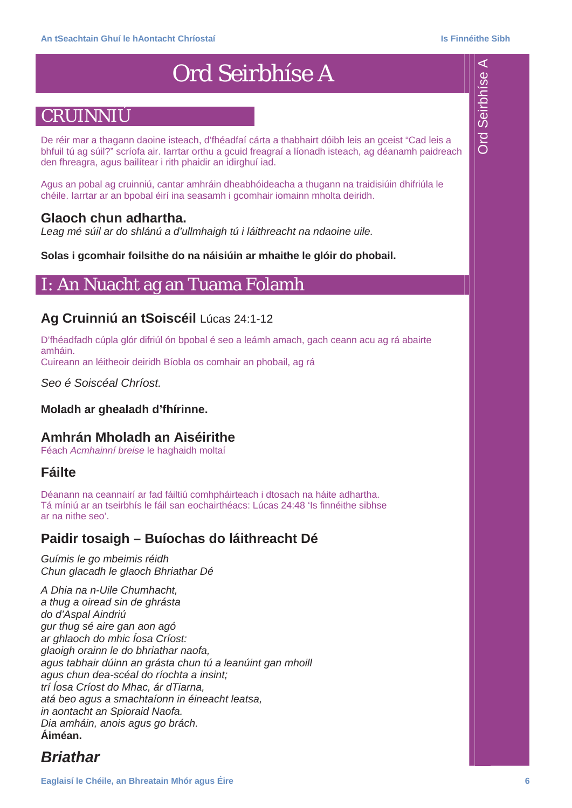## Ord Seirbhíse A

## CRUINNIÚ

De réir mar a thagann daoine isteach, d'fhéadfaí cárta a thabhairt dóibh leis an gceist "Cad leis a bhfuil tú ag súil?" scríofa air. Iarrtar orthu a gcuid freagraí a líonadh isteach, ag déanamh paidreach den fhreagra, agus bailítear i rith phaidir an idirghuí iad.

Agus an pobal ag cruinniú, cantar amhráin dheabhóideacha a thugann na traidisiúin dhifriúla le chéile. Iarrtar ar an bpobal éirí ina seasamh i gcomhair iomainn mholta deiridh.

### **Glaoch chun adhartha.**

Leag mé súil ar do shlánú a d'ullmhaigh tú i láithreacht na ndaoine uile.

**Solas i gcomhair foilsithe do na náisiúin ar mhaithe le glóir do phobail.** 

### I: An Nuacht ag an Tuama Folamh

### **Ag Cruinniú an tSoiscéil** Lúcas 24:1-12

D'fhéadfadh cúpla glór difriúl ón bpobal é seo a leámh amach, gach ceann acu ag rá abairte amháin.

Cuireann an léitheoir deiridh Bíobla os comhair an phobail, ag rá

*Seo é Soiscéal Chríost.* 

### **Moladh ar ghealadh d'fhírinne.**

### **Amhrán Mholadh an Aiséirithe**

Féach *Acmhainní breise* le haghaidh moltaí

### **Fáilte**

Déanann na ceannairí ar fad fáiltiú comhpháirteach i dtosach na háite adhartha. Tá míniú ar an tseirbhís le fáil san eochairthéacs: Lúcas 24:48 'Is finnéithe sibhse ar na nithe seo'.

### **Paidir tosaigh – Buíochas do láithreacht Dé**

*Guímis le go mbeimis réidh Chun glacadh le glaoch Bhriathar Dé* 

*A Dhia na n-Uile Chumhacht, a thug a oiread sin de ghrásta do d'Aspal Aindriú gur thug sé aire gan aon agó ar ghlaoch do mhic Íosa Críost: glaoigh orainn le do bhriathar naofa, agus tabhair dúinn an grásta chun tú a leanúint gan mhoill agus chun dea-scéal do ríochta a insint; trí Íosa Críost do Mhac, ár dTiarna, atá beo agus a smachtaíonn in éineacht leatsa, in aontacht an Spioraid Naofa. Dia amháin, anois agus go brách.*  **Áiméan.** 

### *Briathar*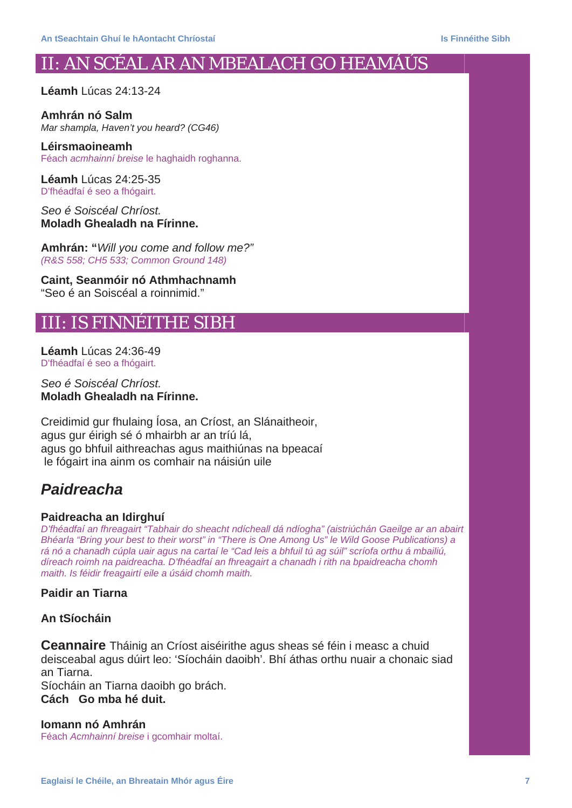## II: AN SCÉAL AR AN MBEALACH GO HEAMÁÚS

**Léamh** Lúcas 24:13-24

**Amhrán nó Salm**  *Mar shampla, Haven't you heard? (CG46)* 

**Léirsmaoineamh**  Féach *acmhainní breise* le haghaidh roghanna.

**Léamh** Lúcas 24:25-35 D'fhéadfaí é seo a fhógairt.

*Seo é Soiscéal Chríost.*  **Moladh Ghealadh na Fírinne.** 

**Amhrán: "***Will you come and follow me?" (R&S 558; CH5 533; Common Ground 148)* 

**Caint, Seanmóir nó Athmhachnamh**  "Seo é an Soiscéal a roinnimid."

### III: IS FINNÉITHE SIBH

**Léamh** Lúcas 24:36-49 D'fhéadfaí é seo a fhógairt.

*Seo é Soiscéal Chríost.*  **Moladh Ghealadh na Fírinne.** 

Creidimid gur fhulaing Íosa, an Críost, an Slánaitheoir, agus gur éirigh sé ó mhairbh ar an tríú lá, agus go bhfuil aithreachas agus maithiúnas na bpeacaí le fógairt ina ainm os comhair na náisiún uile

### *Paidreacha*

### **Paidreacha an Idirghuí**

*D'fhéadfaí an fhreagairt "Tabhair do sheacht ndícheall dá ndíogha" (aistriúchán Gaeilge ar an abairt Bhéarla "Bring your best to their worst" in "There is One Among Us" le Wild Goose Publications) a rá nó a chanadh cúpla uair agus na cartaí le "Cad leis a bhfuil tú ag súil" scríofa orthu á mbailiú, díreach roimh na paidreacha. D'fhéadfaí an fhreagairt a chanadh i rith na bpaidreacha chomh maith. Is féidir freagairtí eile a úsáid chomh maith.* 

**Paidir an Tiarna** 

### **An tSíocháin**

**Ceannaire** Tháinig an Críost aiséirithe agus sheas sé féin i measc a chuid deisceabal agus dúirt leo: 'Síocháin daoibh'. Bhí áthas orthu nuair a chonaic siad an Tiarna. Síocháin an Tiarna daoibh go brách. **Cách Go mba hé duit.** 

**Iomann nó Amhrán**  Féach *Acmhainní breise* i gcomhair moltaí.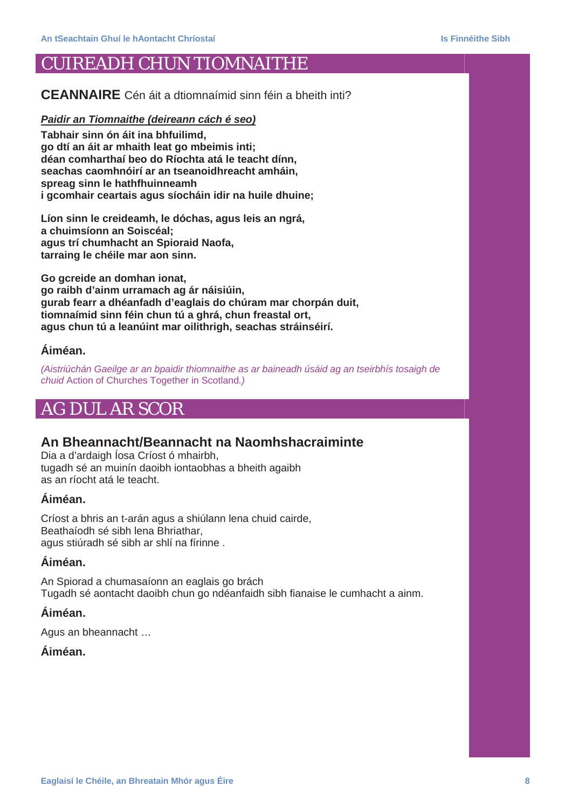### CUIREADH CHUN TIOMNAITHE

**CEANNAIRE** Cén áit a dtiomnaímid sinn féin a bheith inti?

### *Paidir an Tiomnaithe (deireann cách é seo)*

**Tabhair sinn ón áit ina bhfuilimd, go dtí an áit ar mhaith leat go mbeimis inti; déan comharthaí beo do Ríochta atá le teacht dínn, seachas caomhnóirí ar an tseanoidhreacht amháin, spreag sinn le hathfhuinneamh i gcomhair ceartais agus síocháin idir na huile dhuine;** 

**Líon sinn le creideamh, le dóchas, agus leis an ngrá, a chuimsíonn an Soiscéal; agus trí chumhacht an Spioraid Naofa, tarraing le chéile mar aon sinn.** 

**Go gcreide an domhan ionat, go raibh d'ainm urramach ag ár náisiúin, gurab fearr a dhéanfadh d'eaglais do chúram mar chorpán duit, tiomnaímid sinn féin chun tú a ghrá, chun freastal ort, agus chun tú a leanúint mar oilithrigh, seachas stráinséirí.** 

### **Áiméan.**

*(Aistriúchán Gaeilge ar an bpaidir thiomnaithe as ar baineadh úsáid ag an tseirbhís tosaigh de chuid* Action of Churches Together in Scotland*.)* 

### AG DUL AR SCOR

### **An Bheannacht/Beannacht na Naomhshacraiminte**

Dia a d'ardaigh Íosa Críost ó mhairbh, tugadh sé an muinín daoibh iontaobhas a bheith agaibh as an ríocht atá le teacht.

### **Áiméan.**

Críost a bhris an t-arán agus a shiúlann lena chuid cairde, Beathaíodh sé sibh lena Bhriathar, agus stiúradh sé sibh ar shlí na fírinne .

### **Áiméan.**

An Spiorad a chumasaíonn an eaglais go brách Tugadh sé aontacht daoibh chun go ndéanfaidh sibh fianaise le cumhacht a ainm.

### **Áiméan.**

Agus an bheannacht …

### **Áiméan.**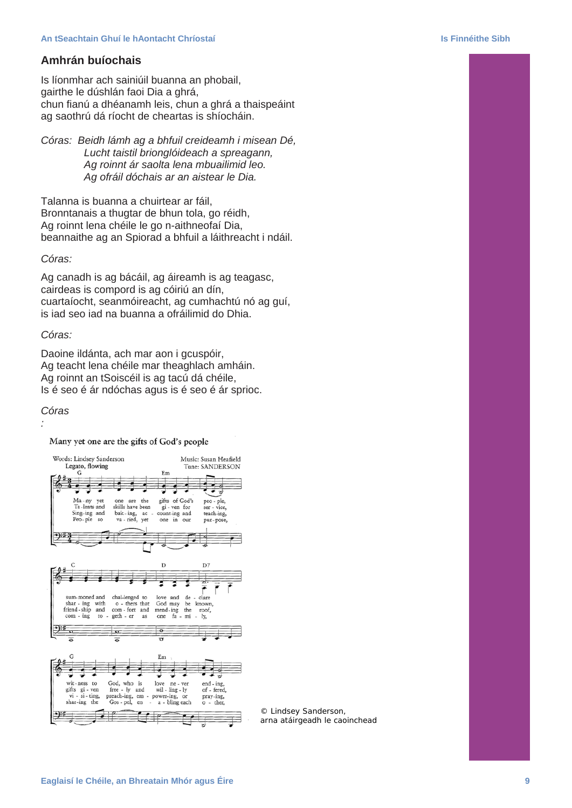### **Amhrán buíochais**

Is líonmhar ach sainiúil buanna an phobail, gairthe le dúshlán faoi Dia a ghrá, chun fianú a dhéanamh leis, chun a ghrá a thaispeáint ag saothrú dá ríocht de cheartas is shíocháin.

*Córas: Beidh lámh ag a bhfuil creideamh i misean Dé, Lucht taistil brionglóideach a spreagann, Ag roinnt ár saolta lena mbuailimid leo. Ag ofráil dóchais ar an aistear le Dia.* 

Talanna is buanna a chuirtear ar fáil, Bronntanais a thugtar de bhun tola, go réidh, Ag roinnt lena chéile le go n-aithneofaí Dia, beannaithe ag an Spiorad a bhfuil a láithreacht i ndáil.

### *Córas:*

Ag canadh is ag bácáil, ag áireamh is ag teagasc, cairdeas is compord is ag cóiriú an dín, cuartaíocht, seanmóireacht, ag cumhachtú nó ag guí, is iad seo iad na buanna a ofráilimid do Dhia.

### *Córas:*

Daoine ildánta, ach mar aon i gcuspóir, Ag teacht lena chéile mar theaghlach amháin. Ag roinnt an tSoiscéil is ag tacú dá chéile, Is é seo é ár ndóchas agus is é seo é ár sprioc.

### *Córas*

*:* 

Many yet one are the gifts of God's people



*© Lindsey Sanderson, arna atáirgeadh le caoinchead*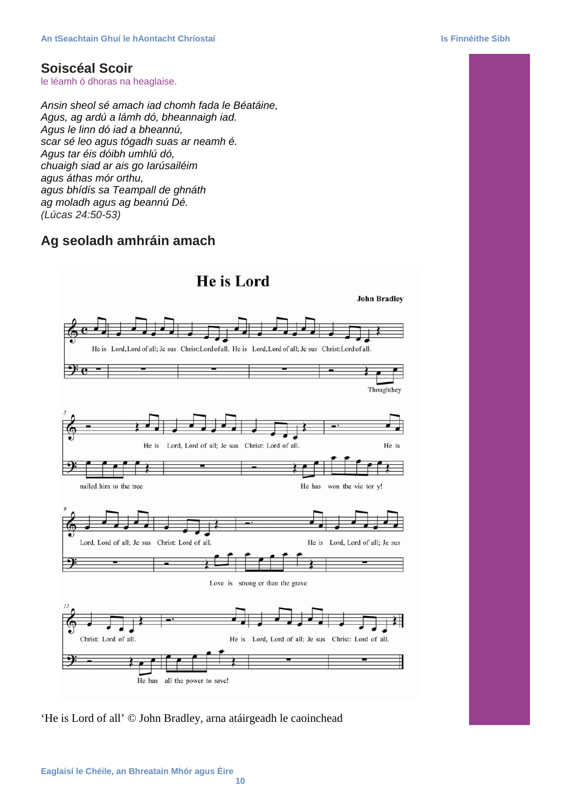### **Soiscéal Scoir**

le léamh ó dhoras na heaglaise.

*Ansin sheol sé amach iad chomh fada le Béatáine, Agus, ag ardú a lámh dó, bheannaigh iad. Agus le linn dó iad a bheannú, scar sé leo agus tógadh suas ar neamh é. Agus tar éis dóibh umhlú dó, chuaigh siad ar ais go Iarúsailéim agus áthas mór orthu, agus bhídís sa Teampall de ghnáth ag moladh agus ag beannú Dé. (Lúcas 24:50-53)* 

### **Ag seoladh amhráin amach**



'He is Lord of all' © John Bradley, arna atáirgeadh le caoinchead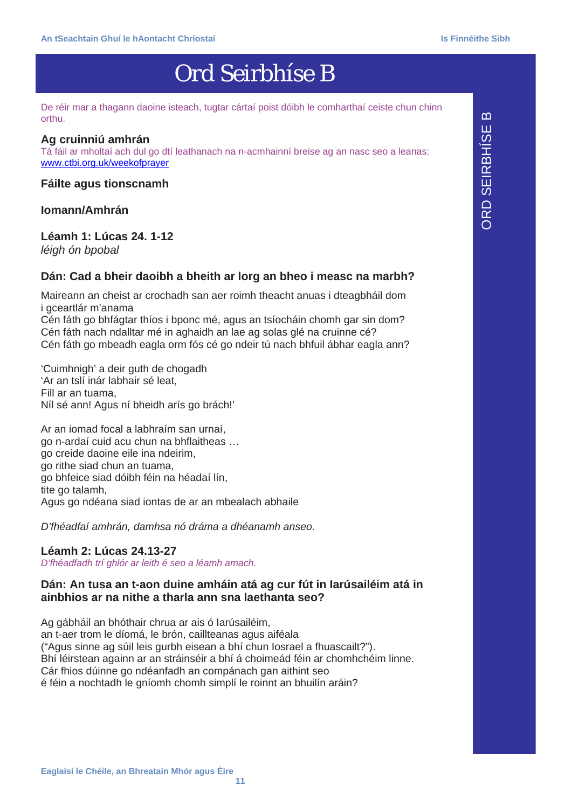## Ord Seirbhíse B

De réir mar a thagann daoine isteach, tugtar cártaí poist dóibh le comharthaí ceiste chun chinn orthu.

### **Ag cruinniú amhrán**

Tá fáil ar mholtaí ach dul go dtí leathanach na n-acmhainní breise ag an nasc seo a leanas: www.ctbi.org.uk/weekofprayer

**Fáilte agus tionscnamh** 

### **Iomann/Amhrán**

### **Léamh 1: Lúcas 24. 1-12**

*léigh ón bpobal* 

### **Dán: Cad a bheir daoibh a bheith ar lorg an bheo i measc na marbh?**

Maireann an cheist ar crochadh san aer roimh theacht anuas i dteagbháil dom i gceartlár m'anama

Cén fáth go bhfágtar thíos i bponc mé, agus an tsíocháin chomh gar sin dom? Cén fáth nach ndalltar mé in aghaidh an lae ag solas glé na cruinne cé? Cén fáth go mbeadh eagla orm fós cé go ndeir tú nach bhfuil ábhar eagla ann?

'Cuimhnigh' a deir guth de chogadh 'Ar an tslí inár labhair sé leat, Fill ar an tuama, Níl sé ann! Agus ní bheidh arís go brách!'

Ar an iomad focal a labhraím san urnaí, go n-ardaí cuid acu chun na bhflaitheas … go creide daoine eile ina ndeirim, go rithe siad chun an tuama, go bhfeice siad dóibh féin na héadaí lín, tite go talamh. Agus go ndéana siad iontas de ar an mbealach abhaile

*D'fhéadfaí amhrán, damhsa nó dráma a dhéanamh anseo.* 

### **Léamh 2: Lúcas 24.13-27**

*D'fhéadfadh trí ghlór ar leith é seo a léamh amach.* 

### **Dán: An tusa an t-aon duine amháin atá ag cur fút in Iarúsailéim atá in ainbhios ar na nithe a tharla ann sna laethanta seo?**

Ag gábháil an bhóthair chrua ar ais ó Iarúsailéim, an t-aer trom le díomá, le brón, caillteanas agus aiféala ("Agus sinne ag súil leis gurbh eisean a bhí chun Iosrael a fhuascailt?"). Bhí léirstean againn ar an stráinséir a bhí á choimeád féin ar chomhchéim linne. Cár fhios dúinne go ndéanfadh an compánach gan aithint seo é féin a nochtadh le gníomh chomh simplí le roinnt an bhuilín aráin?